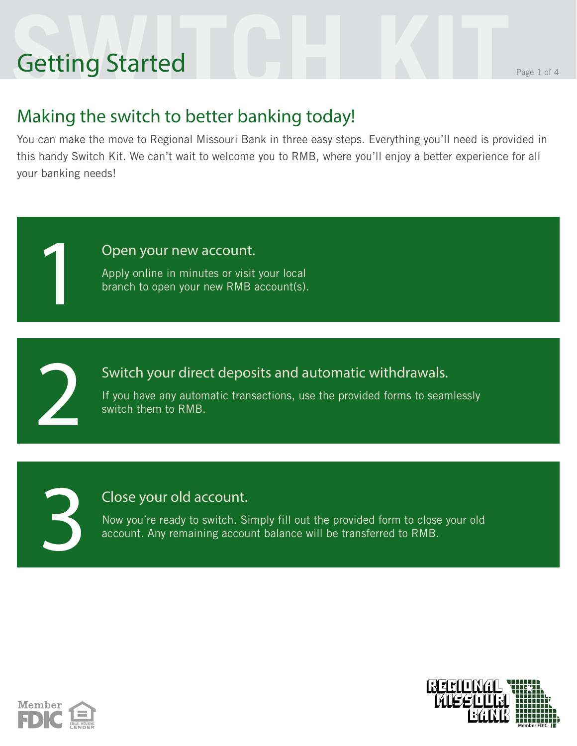# **Setting Started** Getting Started

1

2

3

### Making the switch to better banking today!

You can make the move to Regional Missouri Bank in three easy steps. Everything you'll need is provided in this handy Switch Kit. We can't wait to welcome you to RMB, where you'll enjoy a better experience for all your banking needs!

Open your new account.

Apply online in minutes or visit your local branch to open your new RMB account(s).

Switch your direct deposits and automatic withdrawals.

If you have any automatic transactions, use the provided forms to seamlessly switch them to RMB.

### Close your old account.

Now you're ready to switch. Simply fill out the provided form to close your old account. Any remaining account balance will be transferred to RMB.



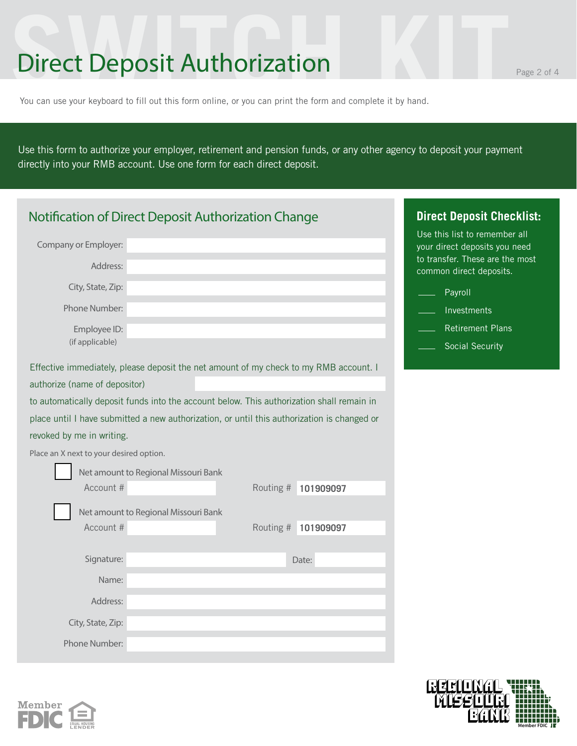# **Surface Strategy Controllery** Page 2 of 4<br>
You can use your keyboard to fill out this form online, or you can print the form and complete it by hand. Direct Deposit Authorization

You can use your keyboard to fill out this form online, or you can print the form and complete it by hand.

Use this form to authorize your employer, retirement and pension funds, or any other agency to deposit your payment directly into your RMB account. Use one form for each direct deposit.

| Notification of Direct Deposit Authorization Change                                                                    | <b>Direct Deposit Checklist:</b>                                                                                             |
|------------------------------------------------------------------------------------------------------------------------|------------------------------------------------------------------------------------------------------------------------------|
| Company or Employer:<br>Address:                                                                                       | Use this list to remember all<br>your direct deposits you need<br>to transfer. These are the most<br>common direct deposits. |
| City, State, Zip:                                                                                                      | Payroll                                                                                                                      |
| Phone Number:                                                                                                          | Investments                                                                                                                  |
| Employee ID:                                                                                                           | <b>Retirement Plans</b>                                                                                                      |
| (if applicable)                                                                                                        | Social Security                                                                                                              |
|                                                                                                                        |                                                                                                                              |
| Effective immediately, please deposit the net amount of my check to my RMB account. I<br>authorize (name of depositor) |                                                                                                                              |
|                                                                                                                        |                                                                                                                              |
| to automatically deposit funds into the account below. This authorization shall remain in                              |                                                                                                                              |
| place until I have submitted a new authorization, or until this authorization is changed or                            |                                                                                                                              |
| revoked by me in writing.                                                                                              |                                                                                                                              |
| Place an X next to your desired option.                                                                                |                                                                                                                              |
| Net amount to Regional Missouri Bank                                                                                   |                                                                                                                              |
| Account #                                                                                                              | Routing #<br>101909097                                                                                                       |
| Net amount to Regional Missouri Bank                                                                                   |                                                                                                                              |
| Account #                                                                                                              | Routing #<br>101909097                                                                                                       |
|                                                                                                                        |                                                                                                                              |
| Signature:                                                                                                             | Date:                                                                                                                        |
| Name:                                                                                                                  |                                                                                                                              |
| Address:                                                                                                               |                                                                                                                              |
| City, State, Zip:                                                                                                      |                                                                                                                              |
|                                                                                                                        |                                                                                                                              |
| Phone Number:                                                                                                          |                                                                                                                              |





**Member FDIC**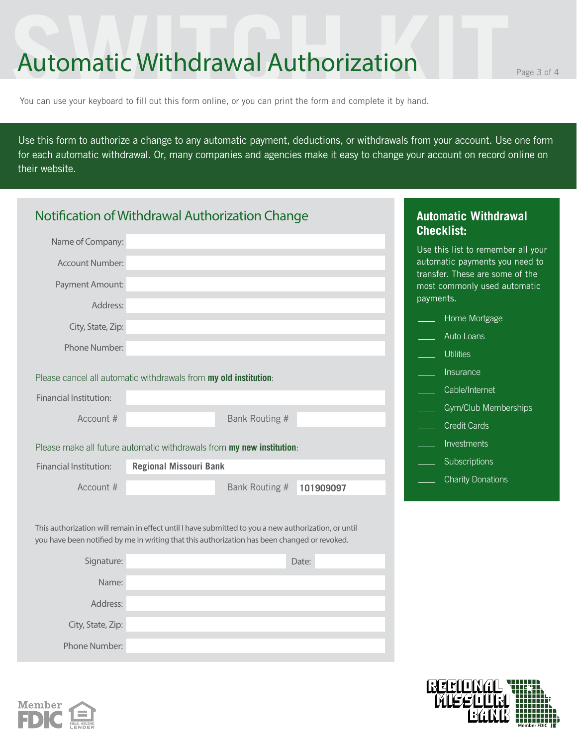# **Sultomatic Withdrawal Authorization**<br>Nou can use your keyboard to fill out this form online, or you can print the form and complete it by hand. Automatic Withdrawal Authorization

You can use your keyboard to fill out this form online, or you can print the form and complete it by hand.

Use this form to authorize a change to any automatic payment, deductions, or withdrawals from your account. Use one form for each automatic withdrawal. Or, many companies and agencies make it easy to change your account on record online on their website.

|                               | Notification of Withdrawal Authorization Change                                                                                                                                                      | <b>Automatic Withdrawal</b><br><b>Checklist:</b>                  |
|-------------------------------|------------------------------------------------------------------------------------------------------------------------------------------------------------------------------------------------------|-------------------------------------------------------------------|
| Name of Company:              |                                                                                                                                                                                                      | Use this list to remember all your                                |
| <b>Account Number:</b>        |                                                                                                                                                                                                      | automatic payments you need to<br>transfer. These are some of the |
| Payment Amount:               |                                                                                                                                                                                                      | most commonly used automatic<br>payments.                         |
| Address:                      |                                                                                                                                                                                                      | Home Mortgage                                                     |
| City, State, Zip:             |                                                                                                                                                                                                      | Auto Loans                                                        |
| Phone Number:                 |                                                                                                                                                                                                      |                                                                   |
|                               |                                                                                                                                                                                                      | <b>Utilities</b>                                                  |
|                               | Please cancel all automatic withdrawals from my old institution:                                                                                                                                     | Insurance                                                         |
| <b>Financial Institution:</b> |                                                                                                                                                                                                      | Cable/Internet                                                    |
|                               |                                                                                                                                                                                                      | Gym/Club Memberships                                              |
| Account #                     | Bank Routing #                                                                                                                                                                                       | <b>Credit Cards</b>                                               |
|                               | Please make all future automatic withdrawals from my new institution:                                                                                                                                | Investments                                                       |
| <b>Financial Institution:</b> | <b>Regional Missouri Bank</b>                                                                                                                                                                        | Subscriptions                                                     |
| Account #                     | Bank Routing #<br>101909097                                                                                                                                                                          | <b>Charity Donations</b>                                          |
|                               |                                                                                                                                                                                                      |                                                                   |
|                               | This authorization will remain in effect until I have submitted to you a new authorization, or until<br>you have been notified by me in writing that this authorization has been changed or revoked. |                                                                   |
| Signature:                    | Date:                                                                                                                                                                                                |                                                                   |
| Name:                         |                                                                                                                                                                                                      |                                                                   |
|                               |                                                                                                                                                                                                      |                                                                   |
| Address:                      |                                                                                                                                                                                                      |                                                                   |
| City, State, Zip:             |                                                                                                                                                                                                      |                                                                   |
| Phone Number:                 |                                                                                                                                                                                                      |                                                                   |